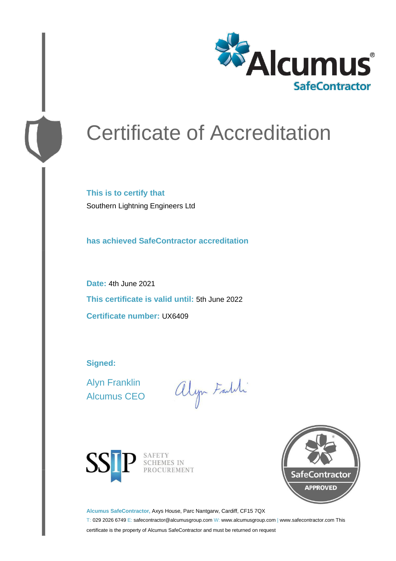

# Certificate of Accreditation

**This is to certify that** Southern Lightning Engineers Ltd

**has achieved SafeContractor accreditation**

**Date:** 4th June 2021 **This certificate is valid until:** 5th June 2022 **Certificate number:** UX6409

**Signed:**

Alyn Franklin Alcumus CEO

alyn Faldi



SAFETY<br>SCHEMES IN PROCUREMENT



**Alcumus SafeContractor,** Axys House, Parc Nantgarw, Cardiff, CF15 7QX

T: 029 2026 6749 E: safecontractor@alcumusgroup.com W: www.alcumusgroup.com | www.safecontractor.com This certificate is the property of Alcumus SafeContractor and must be returned on request